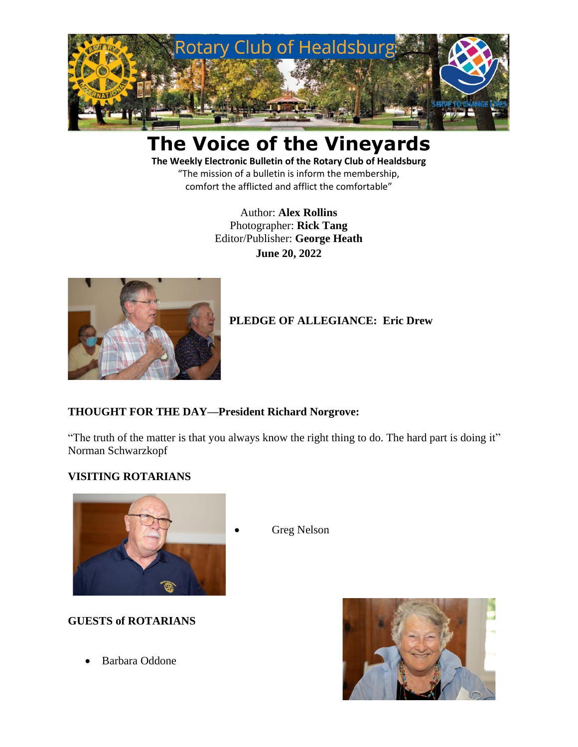

# **The Voice of the Vineyards**

**The Weekly Electronic Bulletin of the Rotary Club of Healdsburg** "The mission of a bulletin is inform the membership, comfort the afflicted and afflict the comfortable"

> Author: **Alex Rollins** Photographer: **Rick Tang** Editor/Publisher: **George Heath June 20, 2022**



# **PLEDGE OF ALLEGIANCE: Eric Drew**

# **THOUGHT FOR THE DAY—President Richard Norgrove:**

"The truth of the matter is that you always know the right thing to do. The hard part is doing it" Norman Schwarzkopf

Greg Nelson

# **VISITING ROTARIANS**



# **GUESTS of ROTARIANS**

• Barbara Oddone

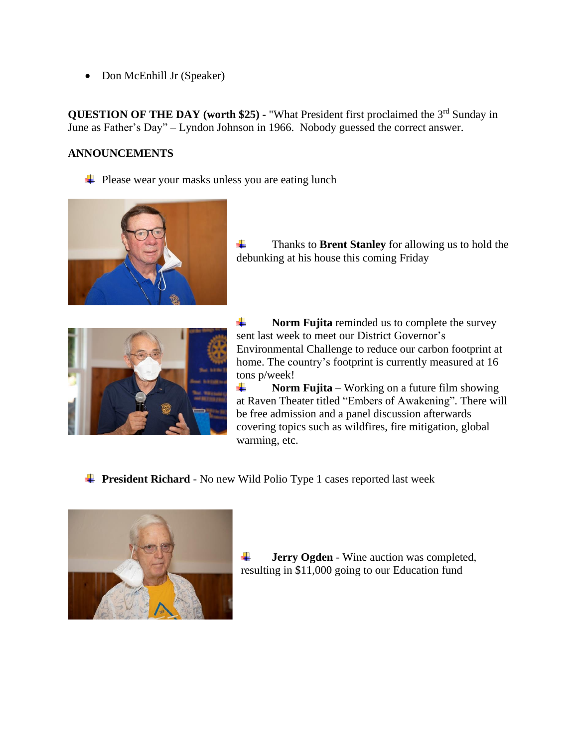• Don McEnhill Jr (Speaker)

**QUESTION OF THE DAY (worth \$25) - "What President first proclaimed the 3<sup>rd</sup> Sunday in** June as Father's Day" – Lyndon Johnson in 1966. Nobody guessed the correct answer.

# **ANNOUNCEMENTS**

 $\downarrow$  Please wear your masks unless you are eating lunch



÷ Thanks to **Brent Stanley** for allowing us to hold the debunking at his house this coming Friday



÷ **Norm Fujita** reminded us to complete the survey sent last week to meet our District Governor's Environmental Challenge to reduce our carbon footprint at home. The country's footprint is currently measured at 16 tons p/week!

÷ **Norm Fujita** – Working on a future film showing at Raven Theater titled "Embers of Awakening". There will be free admission and a panel discussion afterwards covering topics such as wildfires, fire mitigation, global warming, etc.

**President Richard** - No new Wild Polio Type 1 cases reported last week



4. **Jerry Ogden** - Wine auction was completed, resulting in \$11,000 going to our Education fund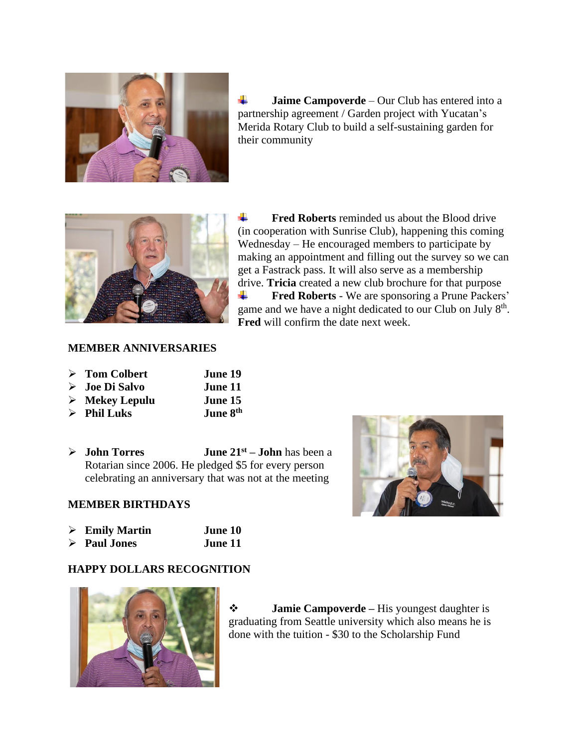

÷ **Jaime Campoverde** – Our Club has entered into a partnership agreement / Garden project with Yucatan's Merida Rotary Club to build a self-sustaining garden for their community



4. **Fred Roberts** reminded us about the Blood drive (in cooperation with Sunrise Club), happening this coming Wednesday – He encouraged members to participate by making an appointment and filling out the survey so we can get a Fastrack pass. It will also serve as a membership drive. **Tricia** created a new club brochure for that purpose **Fred Roberts** - We are sponsoring a Prune Packers' ÷ game and we have a night dedicated to our Club on July 8<sup>th</sup>. **Fred** will confirm the date next week.

#### **MEMBER ANNIVERSARIES**

| $\triangleright$ Tom Colbert                | June 19                |
|---------------------------------------------|------------------------|
| $\triangleright$ Joe Di Salvo               | June 11                |
| $\mathbb{N}$ M.L. $\mathbf{I}$ $\mathbf{I}$ | $T_{\text{max}} = 1.5$ |

- ➢ **Mekey Lepulu June 15**  $\triangleright$  **Phil Luks June 8th**
- 
- ➢ **John Torres June 21st – John** has been a Rotarian since 2006. He pledged \$5 for every person celebrating an anniversary that was not at the meeting



#### **MEMBER BIRTHDAYS**

| $\triangleright$ Emily Martin | June 10 |
|-------------------------------|---------|
| $\triangleright$ Paul Jones   | June 11 |

#### **HAPPY DOLLARS RECOGNITION**



❖ **Jamie Campoverde –** His youngest daughter is graduating from Seattle university which also means he is done with the tuition - \$30 to the Scholarship Fund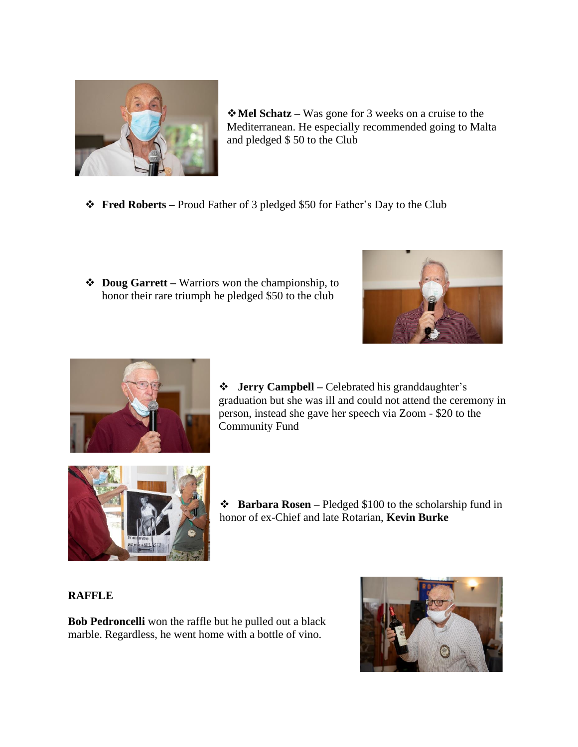

❖**Mel Schatz –** Was gone for 3 weeks on a cruise to the Mediterranean. He especially recommended going to Malta and pledged \$ 50 to the Club

- ❖ **Fred Roberts –** Proud Father of 3 pledged \$50 for Father's Day to the Club
- ❖ **Doug Garrett –** Warriors won the championship, to honor their rare triumph he pledged \$50 to the club





❖ **Jerry Campbell –** Celebrated his granddaughter's graduation but she was ill and could not attend the ceremony in person, instead she gave her speech via Zoom - \$20 to the Community Fund



❖ **Barbara Rosen –** Pledged \$100 to the scholarship fund in honor of ex-Chief and late Rotarian, **Kevin Burke**

# **RAFFLE**

**Bob Pedroncelli** won the raffle but he pulled out a black marble. Regardless, he went home with a bottle of vino.

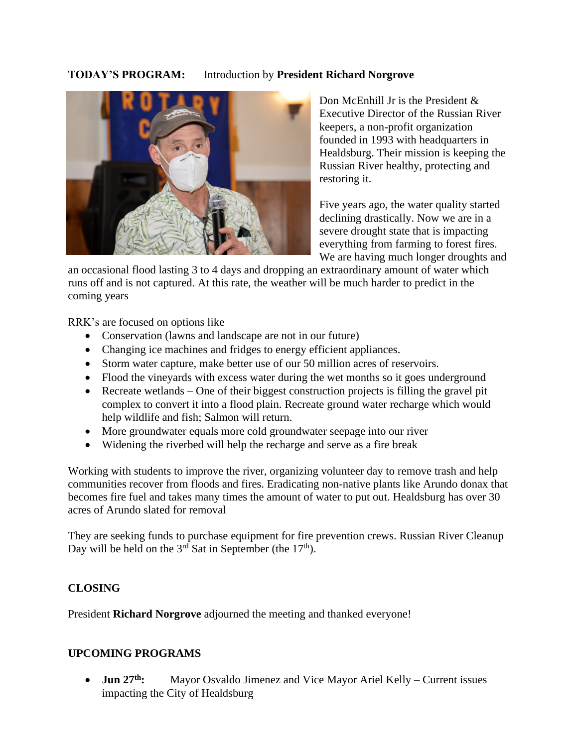# **TODAY'S PROGRAM:** Introduction by **President Richard Norgrove**



Don McEnhill Jr is the President & Executive Director of the Russian River keepers, a non-profit organization founded in 1993 with headquarters in Healdsburg. Their mission is keeping the Russian River healthy, protecting and restoring it.

Five years ago, the water quality started declining drastically. Now we are in a severe drought state that is impacting everything from farming to forest fires. We are having much longer droughts and

an occasional flood lasting 3 to 4 days and dropping an extraordinary amount of water which runs off and is not captured. At this rate, the weather will be much harder to predict in the coming years

RRK's are focused on options like

- Conservation (lawns and landscape are not in our future)
- Changing ice machines and fridges to energy efficient appliances.
- Storm water capture, make better use of our 50 million acres of reservoirs.
- Flood the vineyards with excess water during the wet months so it goes underground
- Recreate wetlands One of their biggest construction projects is filling the gravel pit complex to convert it into a flood plain. Recreate ground water recharge which would help wildlife and fish; Salmon will return.
- More groundwater equals more cold groundwater seepage into our river
- Widening the riverbed will help the recharge and serve as a fire break

Working with students to improve the river, organizing volunteer day to remove trash and help communities recover from floods and fires. Eradicating non-native plants like Arundo donax that becomes fire fuel and takes many times the amount of water to put out. Healdsburg has over 30 acres of Arundo slated for removal

They are seeking funds to purchase equipment for fire prevention crews. Russian River Cleanup Day will be held on the  $3<sup>rd</sup>$  Sat in September (the  $17<sup>th</sup>$ ).

# **CLOSING**

President **Richard Norgrove** adjourned the meeting and thanked everyone!

# **UPCOMING PROGRAMS**

• **Jun 27 th:** Mayor Osvaldo Jimenez and Vice Mayor Ariel Kelly – Current issues impacting the City of Healdsburg